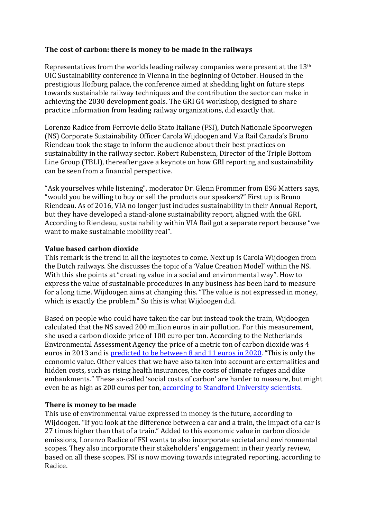## The cost of carbon: there is money to be made in the railways

Representatives from the worlds leading railway companies were present at the  $13<sup>th</sup>$ UIC Sustainability conference in Vienna in the beginning of October. Housed in the prestigious Hofburg palace, the conference aimed at shedding light on future steps towards sustainable railway techniques and the contribution the sector can make in achieving the 2030 development goals. The GRI G4 workshop, designed to share practice information from leading railway organizations, did exactly that.

Lorenzo Radice from Ferrovie dello Stato Italiane (FSI), Dutch Nationale Spoorwegen (NS) Corporate Sustainability Officer Carola Wijdoogen and Via Rail Canada's Bruno Riendeau took the stage to inform the audience about their best practices on sustainability in the railway sector. Robert Rubenstein, Director of the Triple Bottom Line Group (TBLI), thereafter gave a keynote on how GRI reporting and sustainability can be seen from a financial perspective.

"Ask yourselves while listening", moderator Dr. Glenn Frommer from ESG Matters says, "would you be willing to buy or sell the products our speakers?" First up is Bruno Riendeau. As of 2016, VIA no longer just includes sustainability in their Annual Report, but they have developed a stand-alone sustainability report, aligned with the GRI. According to Riendeau, sustainability within VIA Rail got a separate report because "we want to make sustainable mobility real".

## **Value based carbon dioxide**

This remark is the trend in all the keynotes to come. Next up is Carola Wijdoogen from the Dutch railways. She discusses the topic of a 'Value Creation Model' within the NS. With this she points at "creating value in a social and environmental way". How to express the value of sustainable procedures in any business has been hard to measure for a long time. Wijdoogen aims at changing this. "The value is not expressed in money, which is exactly the problem." So this is what Wijdoogen did.

Based on people who could have taken the car but instead took the train, Wijdoogen calculated that the NS saved 200 million euros in air pollution. For this measurement, she used a carbon dioxide price of 100 euro per ton. According to the Netherlands Environmental Assessment Agency the price of a metric ton of carbon dioxide was 4 euros in 2013 and is predicted to be between 8 and 11 euros in 2020. "This is only the economic value. Other values that we have also taken into account are externalities and hidden costs, such as rising health insurances, the costs of climate refuges and dike embankments." These so-called 'social costs of carbon' are harder to measure, but might even be as high as 200 euros per ton, according to Standford University scientists.

## **There is money to be made**

This use of environmental value expressed in money is the future, according to Wijdoogen. "If you look at the difference between a car and a train, the impact of a car is 27 times higher than that of a train." Added to this economic value in carbon dioxide emissions, Lorenzo Radice of FSI wants to also incorporate societal and environmental scopes. They also incorporate their stakeholders' engagement in their yearly review, based on all these scopes. FSI is now moving towards integrated reporting, according to Radice.